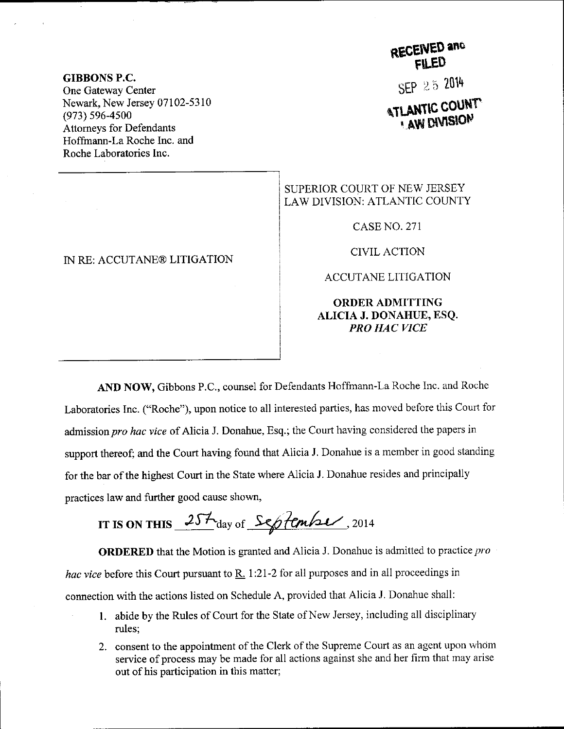GIBBONS P.C. One Gateway Center Newark, New Jersey 07102-5310 (973) 596-4s00 Attomeys for Defendants Hoffrnann-La Roche Inc. and Roche Laboratories Inc.

#### IN RE: ACCUTANE@ LITIGATION

# RECEIVED and

SEP 25 2014

## **ATLANTIC COUNT**

### SUPERIOR COURT OF NEW JERSEY LAW DIVISION: ATLANTIC COUNTY

CASE NO. 271

CIVIL ACTION

ACCUTANE LITIGATION

### ORDERADMITTING ALICIA J. DONAHUE, ESQ. PRO HAC VICE

AND NOW, Gibbons P.C., counsel for Defendants Hoffmann-La Roche Inc. and Roche Laboratories Inc. ("Roche"), upon notice to all interested parties, has moved before this court for admission pro hac vice of Alicia J. Donahue, Esq.; the Court having considered the papers in support thereof; and the Court having found that Alicia J. Donahue is a member in good standing for the bar of the highest Court in the State where Alicia J. Donahue resides and principally practices law and further good cause shown,

IT IS ON THIS  $25\frac{1}{4}$  day of September, 2014

**ORDERED** that the Motion is granted and Alicia J. Donahue is admitted to practice pro hac vice before this Court pursuant to  $\underline{R}$ . 1:21-2 for all purposes and in all proceedings in connection with the actions listed on Schedule A, provided that Alicia J. Donahue shall:

- 1. abide by the Rules of Court for the State of New Jersey, including all disciplinary rules;
- 2. consent to the appointment of the Clerk of the Supreme Court as an agent upon whom service of process may be made for all actions against she and her firm that may arise out of his participation in this matter;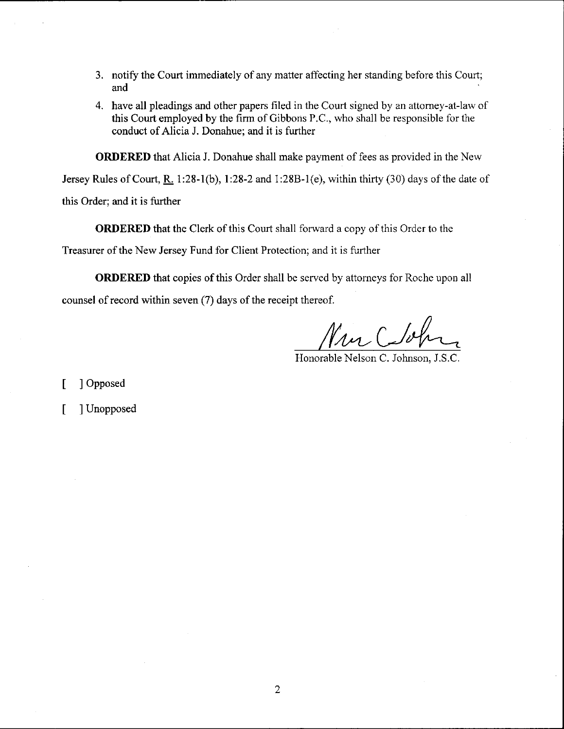- 3. notify the Court immediately of any matter affecting her standing before this Court; and
- 4. have all pleadings and other papers filed in the Court signed by an attorney-at-law of this Court employed by the firm of Gibbons P.C., who shall be responsible for the conduct of Alicia J. Donahue; and it is further

ORDERED that Alicia J. Donahue shall make payment of fees as provided in the New

Jersey Rules of Court,  $R_1$  1:28-1(b), 1:28-2 and 1:28B-1(e), within thirty (30) days of the date of

this Order; and it is further

ORDERED that the Clerk of this Court shall forward a copy of this Order to the

Treasurer of the New Jersey Fund for Client Protection: and it is further

ORDERED that copies of this Order shall be served by attorneys for Roche upon all counsel of record within seven (7) days of the receipt thereof.

Nur Cloh

Honorable Nelson C. Johnson, J.S.C.

[ ] Opposed

[ ] Unopposed